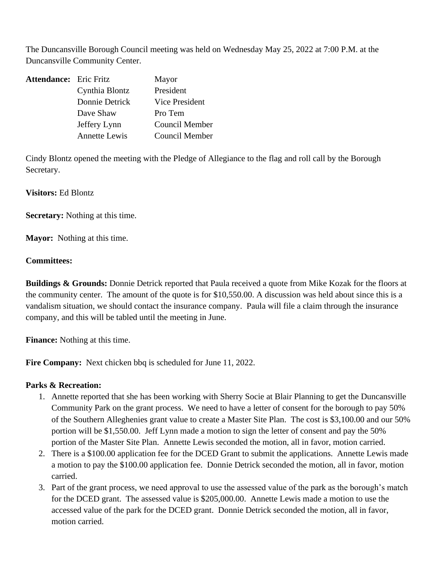The Duncansville Borough Council meeting was held on Wednesday May 25, 2022 at 7:00 P.M. at the Duncansville Community Center.

| <b>Attendance:</b> Eric Fritz |                      | Mayor          |
|-------------------------------|----------------------|----------------|
|                               | Cynthia Blontz       | President      |
|                               | Donnie Detrick       | Vice President |
|                               | Dave Shaw            | Pro Tem        |
|                               | Jeffery Lynn         | Council Member |
|                               | <b>Annette Lewis</b> | Council Member |

Cindy Blontz opened the meeting with the Pledge of Allegiance to the flag and roll call by the Borough Secretary.

**Visitors:** Ed Blontz

**Secretary:** Nothing at this time.

**Mayor:** Nothing at this time.

## **Committees:**

**Buildings & Grounds:** Donnie Detrick reported that Paula received a quote from Mike Kozak for the floors at the community center. The amount of the quote is for \$10,550.00. A discussion was held about since this is a vandalism situation, we should contact the insurance company. Paula will file a claim through the insurance company, and this will be tabled until the meeting in June.

**Finance:** Nothing at this time.

**Fire Company:** Next chicken bbq is scheduled for June 11, 2022.

## **Parks & Recreation:**

- 1. Annette reported that she has been working with Sherry Socie at Blair Planning to get the Duncansville Community Park on the grant process. We need to have a letter of consent for the borough to pay 50% of the Southern Alleghenies grant value to create a Master Site Plan. The cost is \$3,100.00 and our 50% portion will be \$1,550.00. Jeff Lynn made a motion to sign the letter of consent and pay the 50% portion of the Master Site Plan. Annette Lewis seconded the motion, all in favor, motion carried.
- 2. There is a \$100.00 application fee for the DCED Grant to submit the applications. Annette Lewis made a motion to pay the \$100.00 application fee. Donnie Detrick seconded the motion, all in favor, motion carried.
- 3. Part of the grant process, we need approval to use the assessed value of the park as the borough's match for the DCED grant. The assessed value is \$205,000.00. Annette Lewis made a motion to use the accessed value of the park for the DCED grant. Donnie Detrick seconded the motion, all in favor, motion carried.